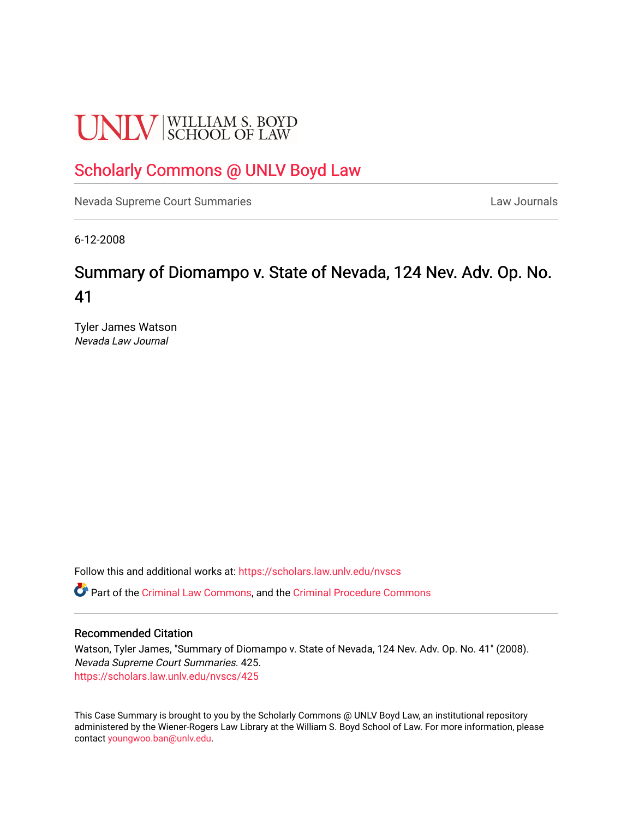# **UNLV** SCHOOL OF LAW

# [Scholarly Commons @ UNLV Boyd Law](https://scholars.law.unlv.edu/)

[Nevada Supreme Court Summaries](https://scholars.law.unlv.edu/nvscs) **Law Journals** Law Journals

6-12-2008

# Summary of Diomampo v. State of Nevada, 124 Nev. Adv. Op. No. 41

Tyler James Watson Nevada Law Journal

Follow this and additional works at: [https://scholars.law.unlv.edu/nvscs](https://scholars.law.unlv.edu/nvscs?utm_source=scholars.law.unlv.edu%2Fnvscs%2F425&utm_medium=PDF&utm_campaign=PDFCoverPages)

Part of the [Criminal Law Commons,](http://network.bepress.com/hgg/discipline/912?utm_source=scholars.law.unlv.edu%2Fnvscs%2F425&utm_medium=PDF&utm_campaign=PDFCoverPages) and the [Criminal Procedure Commons](http://network.bepress.com/hgg/discipline/1073?utm_source=scholars.law.unlv.edu%2Fnvscs%2F425&utm_medium=PDF&utm_campaign=PDFCoverPages)

#### Recommended Citation

Watson, Tyler James, "Summary of Diomampo v. State of Nevada, 124 Nev. Adv. Op. No. 41" (2008). Nevada Supreme Court Summaries. 425. [https://scholars.law.unlv.edu/nvscs/425](https://scholars.law.unlv.edu/nvscs/425?utm_source=scholars.law.unlv.edu%2Fnvscs%2F425&utm_medium=PDF&utm_campaign=PDFCoverPages)

This Case Summary is brought to you by the Scholarly Commons @ UNLV Boyd Law, an institutional repository administered by the Wiener-Rogers Law Library at the William S. Boyd School of Law. For more information, please contact [youngwoo.ban@unlv.edu](mailto:youngwoo.ban@unlv.edu).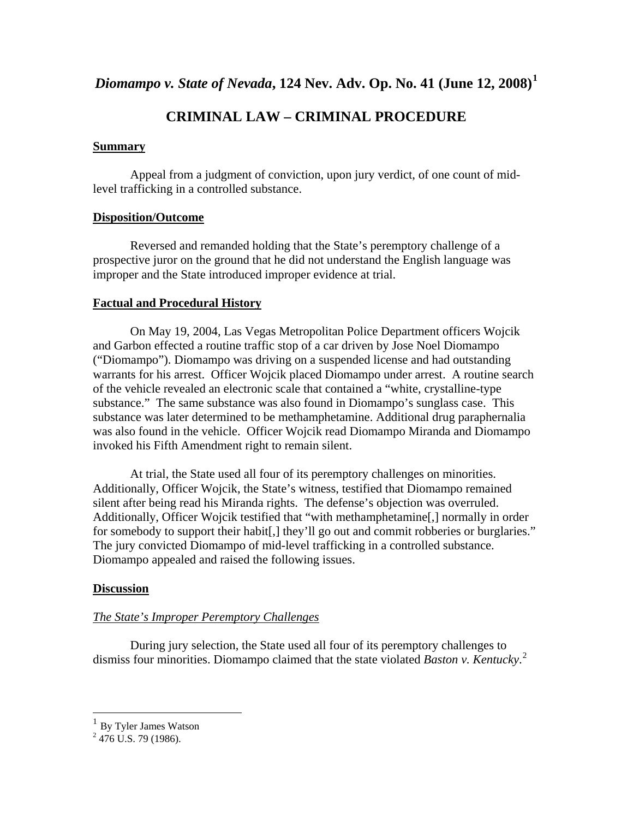*Diomampo v. State of Nevada***, 124 Nev. Adv. Op. No. 41 (June 12, 2008)[1](#page-1-0)**

# **CRIMINAL LAW – CRIMINAL PROCEDURE**

## **Summary**

 Appeal from a judgment of conviction, upon jury verdict, of one count of midlevel trafficking in a controlled substance.

## **Disposition/Outcome**

 Reversed and remanded holding that the State's peremptory challenge of a prospective juror on the ground that he did not understand the English language was improper and the State introduced improper evidence at trial.

# **Factual and Procedural History**

On May 19, 2004, Las Vegas Metropolitan Police Department officers Wojcik and Garbon effected a routine traffic stop of a car driven by Jose Noel Diomampo ("Diomampo"). Diomampo was driving on a suspended license and had outstanding warrants for his arrest. Officer Wojcik placed Diomampo under arrest. A routine search of the vehicle revealed an electronic scale that contained a "white, crystalline-type substance." The same substance was also found in Diomampo's sunglass case. This substance was later determined to be methamphetamine. Additional drug paraphernalia was also found in the vehicle. Officer Wojcik read Diomampo Miranda and Diomampo invoked his Fifth Amendment right to remain silent.

At trial, the State used all four of its peremptory challenges on minorities. Additionally, Officer Wojcik, the State's witness, testified that Diomampo remained silent after being read his Miranda rights. The defense's objection was overruled. Additionally, Officer Wojcik testified that "with methamphetamine[,] normally in order for somebody to support their habit[,] they'll go out and commit robberies or burglaries." The jury convicted Diomampo of mid-level trafficking in a controlled substance. Diomampo appealed and raised the following issues.

# **Discussion**

# *The State's Improper Peremptory Challenges*

 During jury selection, the State used all four of its peremptory challenges to dismiss four minorities. Diomampo claimed that the state violated *Baston v. Kentucky*. [2](#page-1-1)

1

<span id="page-1-0"></span> $1$  By Tyler James Watson

<span id="page-1-1"></span> $2$  476 U.S. 79 (1986).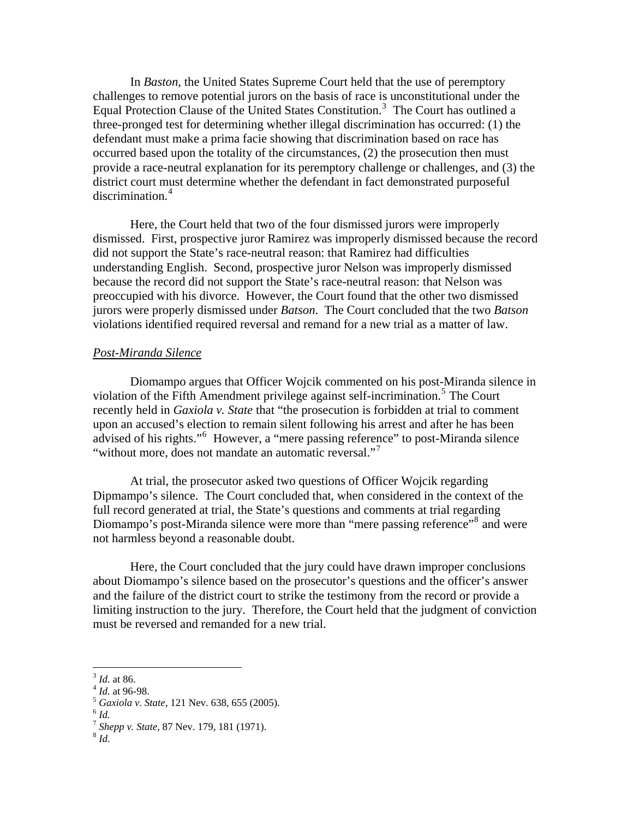In *Baston*, the United States Supreme Court held that the use of peremptory challenges to remove potential jurors on the basis of race is unconstitutional under the Equal Protection Clause of the United States Constitution.<sup>[3](#page-2-0)</sup> The Court has outlined a three-pronged test for determining whether illegal discrimination has occurred: (1) the defendant must make a prima facie showing that discrimination based on race has occurred based upon the totality of the circumstances, (2) the prosecution then must provide a race-neutral explanation for its peremptory challenge or challenges, and (3) the district court must determine whether the defendant in fact demonstrated purposeful discrimination.<sup>[4](#page-2-1)</sup>

 Here, the Court held that two of the four dismissed jurors were improperly dismissed. First, prospective juror Ramirez was improperly dismissed because the record did not support the State's race-neutral reason: that Ramirez had difficulties understanding English. Second, prospective juror Nelson was improperly dismissed because the record did not support the State's race-neutral reason: that Nelson was preoccupied with his divorce. However, the Court found that the other two dismissed jurors were properly dismissed under *Batson*. The Court concluded that the two *Batson* violations identified required reversal and remand for a new trial as a matter of law.

#### *Post-Miranda Silence*

 Diomampo argues that Officer Wojcik commented on his post-Miranda silence in violation of the Fifth Amendment privilege against self-incrimination.<sup>[5](#page-2-2)</sup> The Court recently held in *Gaxiola v. State* that "the prosecution is forbidden at trial to comment upon an accused's election to remain silent following his arrest and after he has been advised of his rights."<sup>[6](#page-2-3)</sup> However, a "mere passing reference" to post-Miranda silence "without more, does not mandate an automatic reversal."<sup>[7](#page-2-4)</sup>

 At trial, the prosecutor asked two questions of Officer Wojcik regarding Dipmampo's silence. The Court concluded that, when considered in the context of the full record generated at trial, the State's questions and comments at trial regarding Diomampo's post-Miranda silence were more than "mere passing reference"<sup>[8](#page-2-5)</sup> and were not harmless beyond a reasonable doubt.

 Here, the Court concluded that the jury could have drawn improper conclusions about Diomampo's silence based on the prosecutor's questions and the officer's answer and the failure of the district court to strike the testimony from the record or provide a limiting instruction to the jury. Therefore, the Court held that the judgment of conviction must be reversed and remanded for a new trial.

 $\overline{a}$ 

<span id="page-2-1"></span>

<span id="page-2-0"></span><sup>&</sup>lt;sup>3</sup> *Id.* at 86.<br>
<sup>4</sup> *Id.* at 96-98.<br>
<sup>5</sup> *Gaxiola v. State*, 121 Nev. 638, 655 (2005).<br>
<sup>6</sup> *Id.* 

<span id="page-2-4"></span><span id="page-2-3"></span><span id="page-2-2"></span>

<sup>7</sup> *Shepp v. State*, 87 Nev. 179, 181 (1971). 8 *Id*.

<span id="page-2-5"></span>